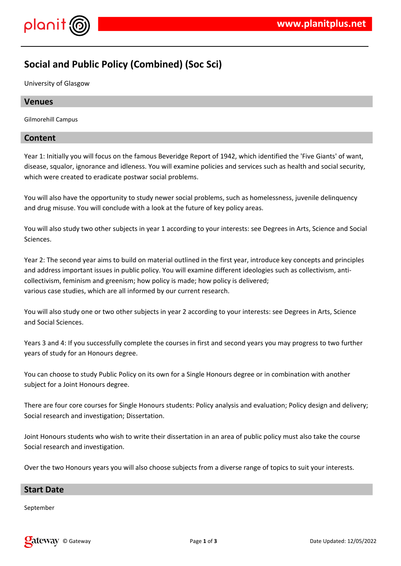

# **Social and Public Policy (Combined) (Soc Sci)**

University of Glasgow

## **Venues**

Gilmorehill Campus

## **Content**

Year 1: Initially you will focus on the famous Beveridge Report of 1942, which identified the 'Five Giants' of want, disease, squalor, ignorance and idleness. You will examine policies and services such as health and social security, which were created to eradicate postwar social problems.

You will also have the opportunity to study newer social problems, such as homelessness, juvenile delinquency and drug misuse. You will conclude with a look at the future of key policy areas.

You will also study two other subjects in year 1 according to your interests: see Degrees in Arts, Science and Social Sciences.

Year 2: The second year aims to build on material outlined in the first year, introduce key concepts and principles and address important issues in public policy. You will examine different ideologies such as collectivism, anticollectivism, feminism and greenism; how policy is made; how policy is delivered; various case studies, which are all informed by our current research.

You will also study one or two other subjects in year 2 according to your interests: see Degrees in Arts, Science and Social Sciences.

Years 3 and 4: If you successfully complete the courses in first and second years you may progress to two further years of study for an Honours degree.

You can choose to study Public Policy on its own for a Single Honours degree or in combination with another subject for a Joint Honours degree.

There are four core courses for Single Honours students: Policy analysis and evaluation; Policy design and delivery; Social research and investigation; Dissertation.

Joint Honours students who wish to write their dissertation in an area of public policy must also take the course Social research and investigation.

Over the two Honours years you will also choose subjects from a diverse range of topics to suit your interests.

## **Start Date**

September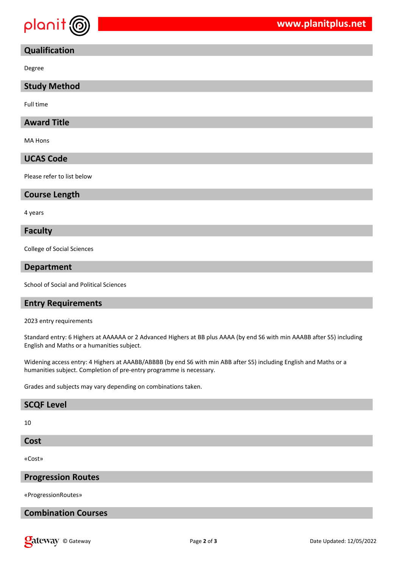

## **Qualification**

Degree

## **Study Method**

Full time

## **Award Title**

MA Hons

## **UCAS Code**

Please refer to list below

#### **Course Length**

4 years

#### **Faculty**

College of Social Sciences

#### **Department**

School of Social and Political Sciences

#### **Entry Requirements**

2023 entry requirements

Standard entry: 6 Highers at AAAAAA or 2 Advanced Highers at BB plus AAAA (by end S6 with min AAABB after S5) including English and Maths or a humanities subject.

Widening access entry: 4 Highers at AAABB/ABBBB (by end S6 with min ABB after S5) including English and Maths or a humanities subject. Completion of pre-entry programme is necessary.

Grades and subjects may vary depending on combinations taken.

#### **SCQF Level**

10

#### **Cost**

«Cost»

#### **Progression Routes**

«ProgressionRoutes»

## **Combination Courses**

**Callet Way** © Gateway **Called: 12/05/2022** Page 2 of 3